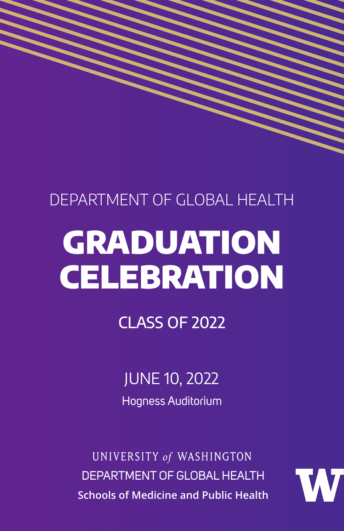### DEPARTMENT OF GLOBAL HEALTH

## GRADUATION **CELEBRATION**

CLASS OF 2022

JUNE 10, 2022 Hogness Auditorium

UNIVERSITY of WASHINGTON DEPARTMENT OF GLOBAL HEALTH **Schools of Medicine and Public Health**

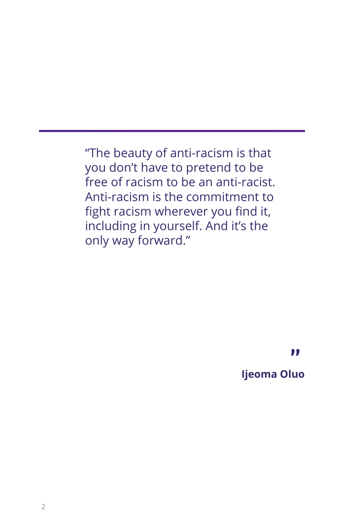"The beauty of anti-racism is that you don't have to pretend to be free of racism to be an anti-racist. Anti-racism is the commitment to fight racism wherever you find it, including in yourself. And it's the only way forward."

**"**

#### **Ijeoma Oluo**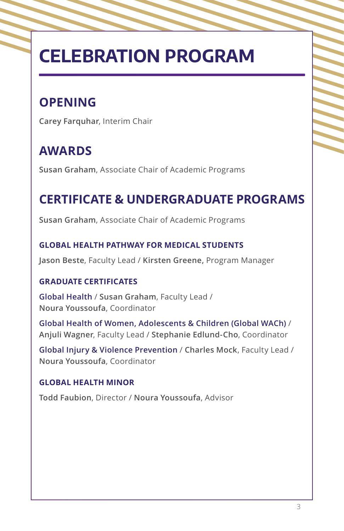### **CELEBRATION PROGRAM**

### **OPENING**

**Carey Farquhar**, Interim Chair

### **AWARDS**

**Susan Graham**, Associate Chair of Academic Programs

### **CERTIFICATE & UNDERGRADUATE PROGRAMS**

**Susan Graham**, Associate Chair of Academic Programs

#### **GLOBAL HEALTH PATHWAY FOR MEDICAL STUDENTS**

**Jason Beste**, Faculty Lead / **Kirsten Greene,** Program Manager

#### **GRADUATE CERTIFICATES**

**Global Health** / **Susan Graham**, Faculty Lead / **Noura Youssoufa**, Coordinator

**Global Health of Women, Adolescents & Children (Global WACh)** / **Anjuli Wagner**, Faculty Lead / **Stephanie Edlund-Cho**, Coordinator

**Global Injury & Violence Prevention** / **Charles Mock**, Faculty Lead / **Noura Youssoufa**, Coordinator

#### **GLOBAL HEALTH MINOR**

**Todd Faubion**, Director / **Noura Youssoufa**, Advisor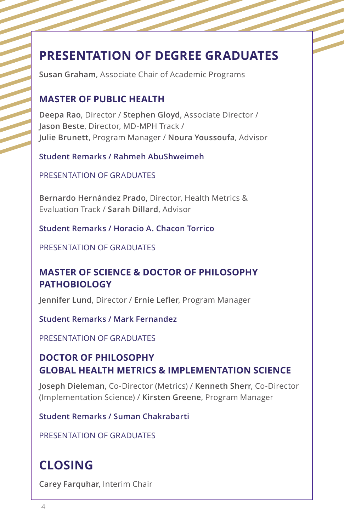### **PRESENTATION OF DEGREE GRADUATES**

**Susan Graham**, Associate Chair of Academic Programs

#### **MASTER OF PUBLIC HEALTH**

**Deepa Rao**, Director / **Stephen Gloyd**, Associate Director / **Jason Beste**, Director, MD-MPH Track / **Julie Brunett**, Program Manager / **Noura Youssoufa**, Advisor

**Student Remarks / Rahmeh AbuShweimeh**

PRESENTATION OF GRADUATES

**Bernardo Hernández Prado**, Director, Health Metrics & Evaluation Track / **Sarah Dillard**, Advisor

**Student Remarks / Horacio A. Chacon Torrico**

PRESENTATION OF GRADUATES

#### **MASTER OF SCIENCE & DOCTOR OF PHILOSOPHY PATHOBIOLOGY**

**Jennifer Lund**, Director / **Ernie Lefler**, Program Manager

**Student Remarks / Mark Fernandez**

PRESENTATION OF GRADUATES

#### **DOCTOR OF PHILOSOPHY GLOBAL HEALTH METRICS & IMPLEMENTATION SCIENCE**

**Joseph Dieleman**, Co-Director (Metrics) / **Kenneth Sherr**, Co-Director (Implementation Science) / **Kirsten Greene**, Program Manager

**Student Remarks / Suman Chakrabarti** 

PRESENTATION OF GRADUATES

### **CLOSING**

**Carey Farquhar**, Interim Chair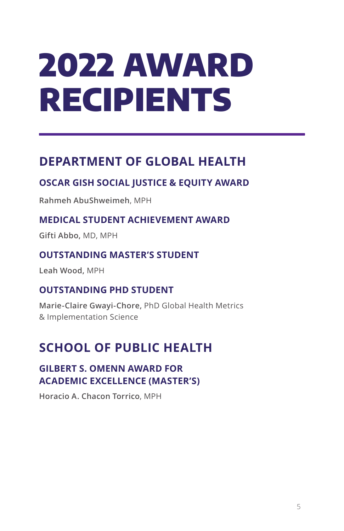# 2022 AWARD RECIPIENTS

### **DEPARTMENT OF GLOBAL HEALTH**

#### **OSCAR GISH SOCIAL JUSTICE & EQUITY AWARD**

**Rahmeh AbuShweimeh**, MPH

#### **MEDICAL STUDENT ACHIEVEMENT AWARD**

**Gifti Abbo,** MD, MPH

#### **OUTSTANDING MASTER'S STUDENT**

**Leah Wood,** MPH

#### **OUTSTANDING PHD STUDENT**

**Marie-Claire Gwayi-Chore,** PhD Global Health Metrics & Implementation Science

### **SCHOOL OF PUBLIC HEALTH**

#### **GILBERT S. OMENN AWARD FOR ACADEMIC EXCELLENCE (MASTER'S)**

**Horacio A. Chacon Torrico**, MPH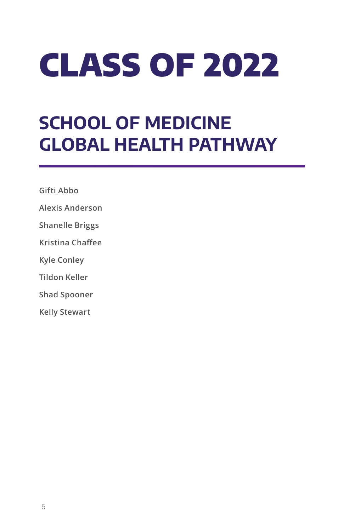# CLASS OF 2022

### **SCHOOL OF MEDICINE GLOBAL HEALTH PATHWAY**

**Gifti Abbo**

**Alexis Anderson**

**Shanelle Briggs**

**Kristina Chaffee**

**Kyle Conley**

**Tildon Keller**

**Shad Spooner**

**Kelly Stewart**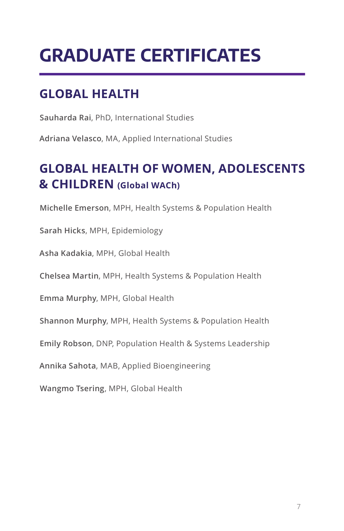### **GRADUATE CERTIFICATES**

### **GLOBAL HEALTH**

**Sauharda Rai**, PhD, International Studies

**Adriana Velasco**, MA, Applied International Studies

### **GLOBAL HEALTH OF WOMEN, ADOLESCENTS & CHILDREN (Global WACh)**

**Michelle Emerson**, MPH, Health Systems & Population Health

**Sarah Hicks**, MPH, Epidemiology

**Asha Kadakia**, MPH, Global Health

**Chelsea Martin**, MPH, Health Systems & Population Health

**Emma Murphy**, MPH, Global Health

**Shannon Murphy**, MPH, Health Systems & Population Health

**Emily Robson**, DNP, Population Health & Systems Leadership

**Annika Sahota**, MAB, Applied Bioengineering

**Wangmo Tsering**, MPH, Global Health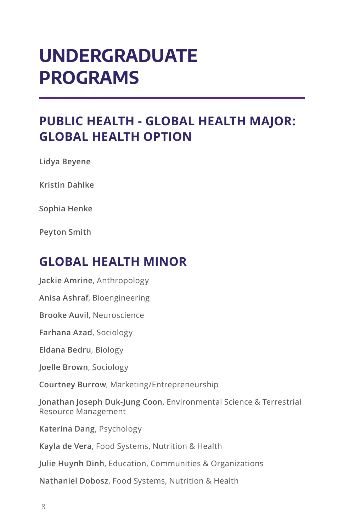### **UNDERGRADUATE PROGRAMS**

### **PUBLIC HEALTH - GLOBAL HEALTH MAJOR: GLOBAL HEALTH OPTION**

**Lidya Beyene** 

**Kristin Dahlke**

**Sophia Henke** 

**Peyton Smith**

### **GLOBAL HEALTH MINOR**

**Jackie Amrine**, Anthropology **Anisa Ashraf**, Bioengineering **Brooke Auvil**, Neuroscience **Farhana Azad**, Sociology **Eldana Bedru**, Biology **Joelle Brown**, Sociology **Courtney Burrow**, Marketing/Entrepreneurship **Jonathan Joseph Duk-Jung Coon**, Environmental Science & Terrestrial Resource Management **Katerina Dang**, Psychology **Kayla de Vera**, Food Systems, Nutrition & Health **Julie Huynh Dinh**, Education, Communities & Organizations **Nathaniel Dobosz**, Food Systems, Nutrition & Health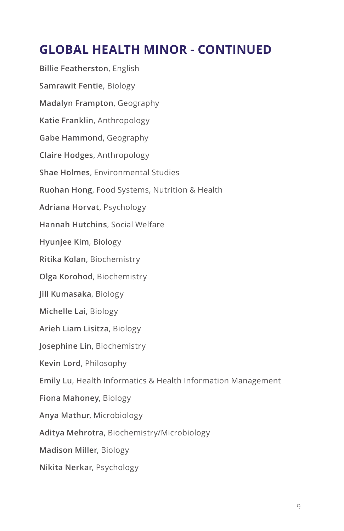### **GLOBAL HEALTH MINOR - CONTINUED**

**Billie Featherston**, English **Samrawit Fentie**, Biology **Madalyn Frampton**, Geography **Katie Franklin**, Anthropology **Gabe Hammond**, Geography **Claire Hodges**, Anthropology **Shae Holmes**, Environmental Studies **Ruohan Hong**, Food Systems, Nutrition & Health **Adriana Horvat**, Psychology **Hannah Hutchins**, Social Welfare **Hyunjee Kim**, Biology **Ritika Kolan**, Biochemistry **Olga Korohod**, Biochemistry **Jill Kumasaka**, Biology **Michelle Lai**, Biology **Arieh Liam Lisitza**, Biology **Josephine Lin**, Biochemistry **Kevin Lord**, Philosophy **Emily Lu**, Health Informatics & Health Information Management **Fiona Mahoney**, Biology **Anya Mathur**, Microbiology **Aditya Mehrotra**, Biochemistry/Microbiology **Madison Miller**, Biology **Nikita Nerkar**, Psychology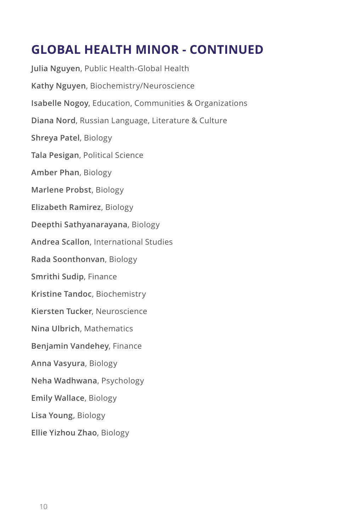### **GLOBAL HEALTH MINOR - CONTINUED**

**Julia Nguyen**, Public Health-Global Health **Kathy Nguyen**, Biochemistry/Neuroscience **Isabelle Nogoy**, Education, Communities & Organizations **Diana Nord**, Russian Language, Literature & Culture **Shreya Patel**, Biology **Tala Pesigan**, Political Science **Amber Phan**, Biology **Marlene Probst**, Biology **Elizabeth Ramirez**, Biology **Deepthi Sathyanarayana**, Biology **Andrea Scallon**, International Studies **Rada Soonthonvan**, Biology **Smrithi Sudip**, Finance **Kristine Tandoc**, Biochemistry **Kiersten Tucker**, Neuroscience **Nina Ulbrich**, Mathematics **Benjamin Vandehey**, Finance **Anna Vasyura**, Biology **Neha Wadhwana**, Psychology **Emily Wallace**, Biology **Lisa Young**, Biology **Ellie Yizhou Zhao**, Biology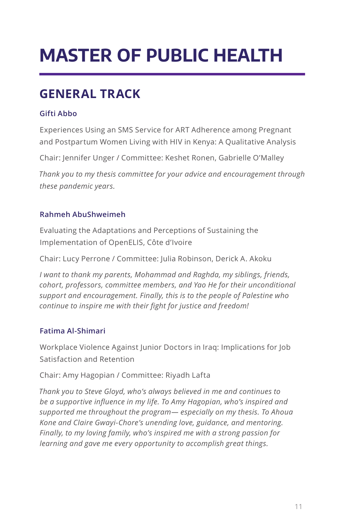### **MASTER OF PUBLIC HEALTH**

### **GENERAL TRACK**

#### **Gifti Abbo**

Experiences Using an SMS Service for ART Adherence among Pregnant and Postpartum Women Living with HIV in Kenya: A Qualitative Analysis

Chair: Jennifer Unger / Committee: Keshet Ronen, Gabrielle O'Malley

*Thank you to my thesis committee for your advice and encouragement through these pandemic years.*

#### **Rahmeh AbuShweimeh**

Evaluating the Adaptations and Perceptions of Sustaining the Implementation of OpenELIS, Côte d'Ivoire

Chair: Lucy Perrone / Committee: Julia Robinson, Derick A. Akoku

*I want to thank my parents, Mohammad and Raghda, my siblings, friends, cohort, professors, committee members, and Yao He for their unconditional support and encouragement. Finally, this is to the people of Palestine who continue to inspire me with their fight for justice and freedom!*

#### **Fatima Al-Shimari**

Workplace Violence Against Junior Doctors in Iraq: Implications for Job Satisfaction and Retention

Chair: Amy Hagopian / Committee: Riyadh Lafta

*Thank you to Steve Gloyd, who's always believed in me and continues to be a supportive influence in my life. To Amy Hagopian, who's inspired and supported me throughout the program— especially on my thesis. To Ahoua Kone and Claire Gwayi-Chore's unending love, guidance, and mentoring. Finally, to my loving family, who's inspired me with a strong passion for learning and gave me every opportunity to accomplish great things.*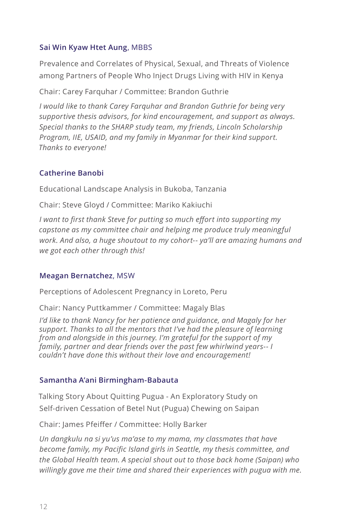#### **Sai Win Kyaw Htet Aung**, MBBS

Prevalence and Correlates of Physical, Sexual, and Threats of Violence among Partners of People Who Inject Drugs Living with HIV in Kenya

Chair: Carey Farquhar / Committee: Brandon Guthrie

*I would like to thank Carey Farquhar and Brandon Guthrie for being very supportive thesis advisors, for kind encouragement, and support as always. Special thanks to the SHARP study team, my friends, Lincoln Scholarship Program, IIE, USAID, and my family in Myanmar for their kind support. Thanks to everyone!*

#### **Catherine Banobi**

Educational Landscape Analysis in Bukoba, Tanzania

Chair: Steve Gloyd / Committee: Mariko Kakiuchi

*I want to first thank Steve for putting so much effort into supporting my capstone as my committee chair and helping me produce truly meaningful work. And also, a huge shoutout to my cohort-- ya'll are amazing humans and we got each other through this!*

#### **Meagan Bernatchez**, MSW

Perceptions of Adolescent Pregnancy in Loreto, Peru

Chair: Nancy Puttkammer / Committee: Magaly Blas

*I'd like to thank Nancy for her patience and guidance, and Magaly for her support. Thanks to all the mentors that I've had the pleasure of learning from and alongside in this journey. I'm grateful for the support of my family, partner and dear friends over the past few whirlwind years-- I couldn't have done this without their love and encouragement!*

#### **Samantha A'ani Birmingham-Babauta**

Talking Story About Quitting Pugua - An Exploratory Study on Self-driven Cessation of Betel Nut (Pugua) Chewing on Saipan

Chair: James Pfeiffer / Committee: Holly Barker

*Un dangkulu na si yu'us ma'ase to my mama, my classmates that have become family, my Pacific Island girls in Seattle, my thesis committee, and the Global Health team. A special shout out to those back home (Saipan) who willingly gave me their time and shared their experiences with pugua with me.*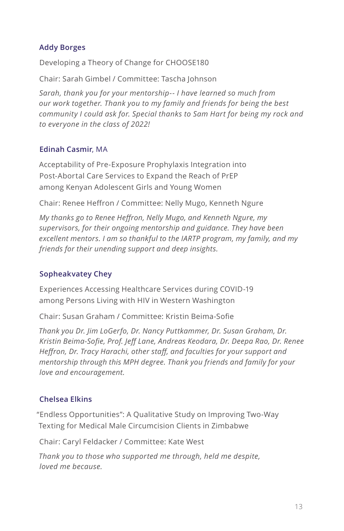#### **Addy Borges**

Developing a Theory of Change for CHOOSE180

Chair: Sarah Gimbel / Committee: Tascha Johnson

*Sarah, thank you for your mentorship-- I have learned so much from our work together. Thank you to my family and friends for being the best community I could ask for. Special thanks to Sam Hart for being my rock and to everyone in the class of 2022!*

#### **Edinah Casmir**, MA

Acceptability of Pre-Exposure Prophylaxis Integration into Post-Abortal Care Services to Expand the Reach of PrEP among Kenyan Adolescent Girls and Young Women

Chair: Renee Heffron / Committee: Nelly Mugo, Kenneth Ngure

*My thanks go to Renee Heffron, Nelly Mugo, and Kenneth Ngure, my supervisors, for their ongoing mentorship and guidance. They have been excellent mentors. I am so thankful to the IARTP program, my family, and my friends for their unending support and deep insights.*

#### **Sopheakvatey Chey**

Experiences Accessing Healthcare Services during COVID-19 among Persons Living with HIV in Western Washington

Chair: Susan Graham / Committee: Kristin Beima-Sofie

*Thank you Dr. Jim LoGerfo, Dr. Nancy Puttkammer, Dr. Susan Graham, Dr. Kristin Beima-Sofie, Prof. Jeff Lane, Andreas Keodara, Dr. Deepa Rao, Dr. Renee Heffron, Dr. Tracy Harachi, other staff, and faculties for your support and mentorship through this MPH degree. Thank you friends and family for your love and encouragement.*

#### **Chelsea Elkins**

"Endless Opportunities": A Qualitative Study on Improving Two-Way Texting for Medical Male Circumcision Clients in Zimbabwe

Chair: Caryl Feldacker / Committee: Kate West

*Thank you to those who supported me through, held me despite, loved me because.*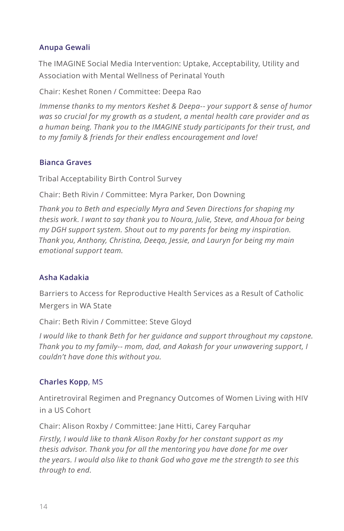#### **Anupa Gewali**

The IMAGINE Social Media Intervention: Uptake, Acceptability, Utility and Association with Mental Wellness of Perinatal Youth

Chair: Keshet Ronen / Committee: Deepa Rao

*Immense thanks to my mentors Keshet & Deepa-- your support & sense of humor was so crucial for my growth as a student, a mental health care provider and as a human being. Thank you to the IMAGINE study participants for their trust, and to my family & friends for their endless encouragement and love!*

#### **Bianca Graves**

Tribal Acceptability Birth Control Survey

Chair: Beth Rivin / Committee: Myra Parker, Don Downing

*Thank you to Beth and especially Myra and Seven Directions for shaping my thesis work. I want to say thank you to Noura, Julie, Steve, and Ahoua for being my DGH support system. Shout out to my parents for being my inspiration. Thank you, Anthony, Christina, Deeqa, Jessie, and Lauryn for being my main emotional support team.*

#### **Asha Kadakia**

Barriers to Access for Reproductive Health Services as a Result of Catholic Mergers in WA State

Chair: Beth Rivin / Committee: Steve Gloyd

*I* would like to thank Beth for her guidance and support throughout my capstone. *Thank you to my family-- mom, dad, and Aakash for your unwavering support, I couldn't have done this without you.*

#### **Charles Kopp**, MS

Antiretroviral Regimen and Pregnancy Outcomes of Women Living with HIV in a US Cohort

Chair: Alison Roxby / Committee: Jane Hitti, Carey Farquhar

*Firstly, I would like to thank Alison Roxby for her constant support as my thesis advisor. Thank you for all the mentoring you have done for me over the years. I would also like to thank God who gave me the strength to see this through to end.*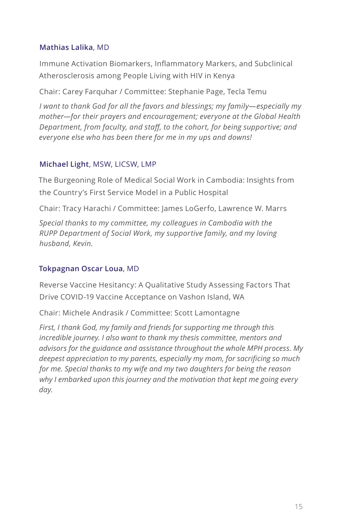#### **Mathias Lalika**, MD

Immune Activation Biomarkers, Inflammatory Markers, and Subclinical Atherosclerosis among People Living with HIV in Kenya

Chair: Carey Farquhar / Committee: Stephanie Page, Tecla Temu

*I want to thank God for all the favors and blessings; my family—especially my mother—for their prayers and encouragement; everyone at the Global Health Department, from faculty, and staff, to the cohort, for being supportive; and everyone else who has been there for me in my ups and downs!*

#### **Michael Light**, MSW, LICSW, LMP

The Burgeoning Role of Medical Social Work in Cambodia: Insights from the Country's First Service Model in a Public Hospital

Chair: Tracy Harachi / Committee: James LoGerfo, Lawrence W. Marrs

*Special thanks to my committee, my colleagues in Cambodia with the RUPP Department of Social Work, my supportive family, and my loving husband, Kevin.*

#### **Tokpagnan Oscar Loua**, MD

Reverse Vaccine Hesitancy: A Qualitative Study Assessing Factors That Drive COVID-19 Vaccine Acceptance on Vashon Island, WA

Chair: Michele Andrasik / Committee: Scott Lamontagne

*First, I thank God, my family and friends for supporting me through this incredible journey. I also want to thank my thesis committee, mentors and advisors for the guidance and assistance throughout the whole MPH process. My deepest appreciation to my parents, especially my mom, for sacrificing so much for me. Special thanks to my wife and my two daughters for being the reason why I embarked upon this journey and the motivation that kept me going every day.*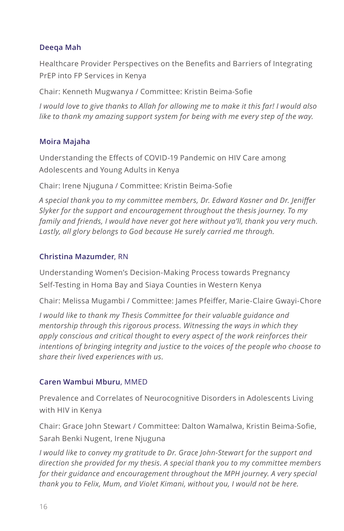#### **Deeqa Mah**

Healthcare Provider Perspectives on the Benefits and Barriers of Integrating PrEP into FP Services in Kenya

Chair: Kenneth Mugwanya / Committee: Kristin Beima-Sofie

*I would love to give thanks to Allah for allowing me to make it this far! I would also like to thank my amazing support system for being with me every step of the way.*

#### **Moira Majaha**

Understanding the Effects of COVID-19 Pandemic on HIV Care among Adolescents and Young Adults in Kenya

Chair: Irene Njuguna / Committee: Kristin Beima-Sofie

*A special thank you to my committee members, Dr. Edward Kasner and Dr. Jeniffer Slyker for the support and encouragement throughout the thesis journey. To my family and friends, I would have never got here without ya'll, thank you very much. Lastly, all glory belongs to God because He surely carried me through.*

#### **Christina Mazumder**, RN

Understanding Women's Decision-Making Process towards Pregnancy Self-Testing in Homa Bay and Siaya Counties in Western Kenya

Chair: Melissa Mugambi / Committee: James Pfeiffer, Marie-Claire Gwayi-Chore

*I would like to thank my Thesis Committee for their valuable guidance and mentorship through this rigorous process. Witnessing the ways in which they apply conscious and critical thought to every aspect of the work reinforces their intentions of bringing integrity and justice to the voices of the people who choose to share their lived experiences with us.*

#### **Caren Wambui Mburu**, MMED

Prevalence and Correlates of Neurocognitive Disorders in Adolescents Living with HIV in Kenya

Chair: Grace John Stewart / Committee: Dalton Wamalwa, Kristin Beima-Sofie, Sarah Benki Nugent, Irene Njuguna

*I would like to convey my gratitude to Dr. Grace John-Stewart for the support and direction she provided for my thesis. A special thank you to my committee members for their guidance and encouragement throughout the MPH journey. A very special thank you to Felix, Mum, and Violet Kimani, without you, I would not be here.*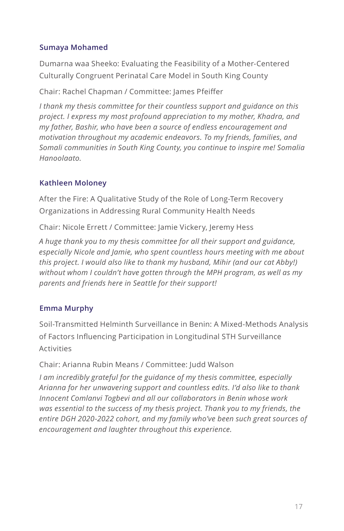#### **Sumaya Mohamed**

Dumarna waa Sheeko: Evaluating the Feasibility of a Mother-Centered Culturally Congruent Perinatal Care Model in South King County

Chair: Rachel Chapman / Committee: James Pfeiffer

*I thank my thesis committee for their countless support and guidance on this project. I express my most profound appreciation to my mother, Khadra, and my father, Bashir, who have been a source of endless encouragement and motivation throughout my academic endeavors. To my friends, families, and Somali communities in South King County, you continue to inspire me! Somalia Hanoolaato.*

#### **Kathleen Moloney**

After the Fire: A Qualitative Study of the Role of Long-Term Recovery Organizations in Addressing Rural Community Health Needs

Chair: Nicole Errett / Committee: Jamie Vickery, Jeremy Hess

*A huge thank you to my thesis committee for all their support and guidance, especially Nicole and Jamie, who spent countless hours meeting with me about this project. I would also like to thank my husband, Mihir (and our cat Abby!) without whom I couldn't have gotten through the MPH program, as well as my parents and friends here in Seattle for their support!*

#### **Emma Murphy**

Soil-Transmitted Helminth Surveillance in Benin: A Mixed-Methods Analysis of Factors Influencing Participation in Longitudinal STH Surveillance Activities

Chair: Arianna Rubin Means / Committee: Judd Walson

*I am incredibly grateful for the guidance of my thesis committee, especially Arianna for her unwavering support and countless edits. I'd also like to thank Innocent Comlanvi Togbevi and all our collaborators in Benin whose work was essential to the success of my thesis project. Thank you to my friends, the entire DGH 2020-2022 cohort, and my family who've been such great sources of encouragement and laughter throughout this experience.*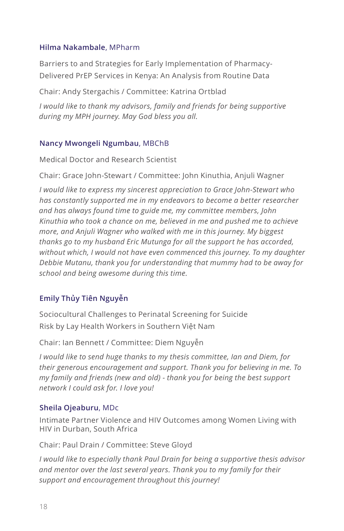#### **Hilma Nakambale**, MPharm

Barriers to and Strategies for Early Implementation of Pharmacy-Delivered PrEP Services in Kenya: An Analysis from Routine Data

Chair: Andy Stergachis / Committee: Katrina Ortblad

*I would like to thank my advisors, family and friends for being supportive during my MPH journey. May God bless you all.*

#### **Nancy Mwongeli Ngumbau**, MBChB

Medical Doctor and Research Scientist

Chair: Grace John-Stewart / Committee: John Kinuthia, Anjuli Wagner

*I would like to express my sincerest appreciation to Grace John-Stewart who has constantly supported me in my endeavors to become a better researcher and has always found time to guide me, my committee members, John Kinuthia who took a chance on me, believed in me and pushed me to achieve more, and Anjuli Wagner who walked with me in this journey. My biggest thanks go to my husband Eric Mutunga for all the support he has accorded, without which, I would not have even commenced this journey. To my daughter Debbie Mutanu, thank you for understanding that mummy had to be away for school and being awesome during this time.*

#### **Emily Thủy Tiên Nguyễn**

Sociocultural Challenges to Perinatal Screening for Suicide Risk by Lay Health Workers in Southern Việt Nam

Chair: Ian Bennett / Committee: Diem Nguyễn

*I would like to send huge thanks to my thesis committee, Ian and Diem, for their generous encouragement and support. Thank you for believing in me. To my family and friends (new and old) - thank you for being the best support network I could ask for. I love you!*

#### **Sheila Ojeaburu**, MDc

Intimate Partner Violence and HIV Outcomes among Women Living with HIV in Durban, South Africa

Chair: Paul Drain / Committee: Steve Gloyd

*I would like to especially thank Paul Drain for being a supportive thesis advisor and mentor over the last several years. Thank you to my family for their support and encouragement throughout this journey!*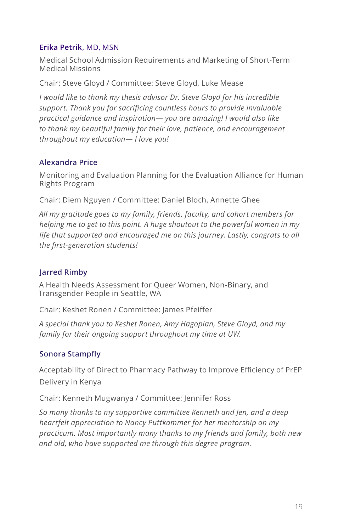#### **Erika Petrik**, MD, MSN

Medical School Admission Requirements and Marketing of Short-Term Medical Missions

Chair: Steve Gloyd / Committee: Steve Gloyd, Luke Mease

*I would like to thank my thesis advisor Dr. Steve Gloyd for his incredible support. Thank you for sacrificing countless hours to provide invaluable practical guidance and inspiration— you are amazing! I would also like to thank my beautiful family for their love, patience, and encouragement throughout my education— I love you!*

#### **Alexandra Price**

Monitoring and Evaluation Planning for the Evaluation Alliance for Human Rights Program

Chair: Diem Nguyen / Committee: Daniel Bloch, Annette Ghee

*All my gratitude goes to my family, friends, faculty, and cohort members for helping me to get to this point. A huge shoutout to the powerful women in my life that supported and encouraged me on this journey. Lastly, congrats to all the first-generation students!*

#### **Jarred Rimby**

A Health Needs Assessment for Queer Women, Non-Binary, and Transgender People in Seattle, WA

Chair: Keshet Ronen / Committee: James Pfeiffer

*A special thank you to Keshet Ronen, Amy Hagopian, Steve Gloyd, and my family for their ongoing support throughout my time at UW.*

#### **Sonora Stampfly**

Acceptability of Direct to Pharmacy Pathway to Improve Efficiency of PrEP Delivery in Kenya

Chair: Kenneth Mugwanya / Committee: Jennifer Ross

*So many thanks to my supportive committee Kenneth and Jen, and a deep heartfelt appreciation to Nancy Puttkammer for her mentorship on my practicum. Most importantly many thanks to my friends and family, both new and old, who have supported me through this degree program.*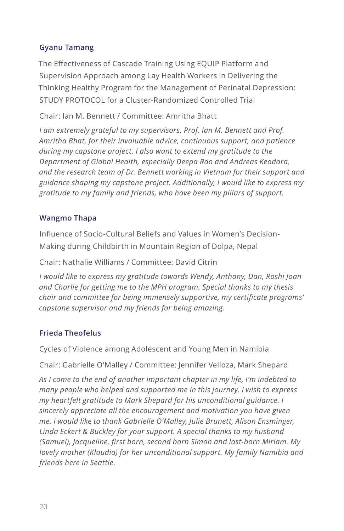#### **Gyanu Tamang**

The Effectiveness of Cascade Training Using EQUIP Platform and Supervision Approach among Lay Health Workers in Delivering the Thinking Healthy Program for the Management of Perinatal Depression: STUDY PROTOCOL for a Cluster-Randomized Controlled Trial

Chair: Ian M. Bennett / Committee: Amritha Bhatt

*I am extremely grateful to my supervisors, Prof. Ian M. Bennett and Prof. Amritha Bhat, for their invaluable advice, continuous support, and patience during my capstone project. I also want to extend my gratitude to the Department of Global Health, especially Deepa Rao and Andreas Keodara, and the research team of Dr. Bennett working in Vietnam for their support and guidance shaping my capstone project. Additionally, I would like to express my gratitude to my family and friends, who have been my pillars of support.*

#### **Wangmo Thapa**

Influence of Socio-Cultural Beliefs and Values in Women's Decision-Making during Childbirth in Mountain Region of Dolpa, Nepal

Chair: Nathalie Williams / Committee: David Citrin

*I would like to express my gratitude towards Wendy, Anthony, Dan, Roshi Joan and Charlie for getting me to the MPH program. Special thanks to my thesis chair and committee for being immensely supportive, my certificate programs' capstone supervisor and my friends for being amazing.*

#### **Frieda Theofelus**

Cycles of Violence among Adolescent and Young Men in Namibia

Chair: Gabrielle O'Malley / Committee: Jennifer Velloza, Mark Shepard

*As I come to the end of another important chapter in my life, I'm indebted to many people who helped and supported me in this journey. I wish to express my heartfelt gratitude to Mark Shepard for his unconditional guidance. I sincerely appreciate all the encouragement and motivation you have given me. I would like to thank Gabrielle O'Malley, Julie Brunett, Alison Ensminger, Linda Eckert & Buckley for your support. A special thanks to my husband (Samuel), Jacqueline, first born, second born Simon and last-born Miriam. My lovely mother (Klaudia) for her unconditional support. My family Namibia and friends here in Seattle.*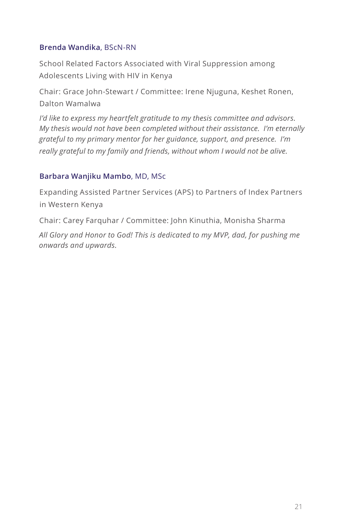#### **Brenda Wandika**, BScN-RN

School Related Factors Associated with Viral Suppression among Adolescents Living with HIV in Kenya

Chair: Grace John-Stewart / Committee: Irene Njuguna, Keshet Ronen, Dalton Wamalwa

*I'd like to express my heartfelt gratitude to my thesis committee and advisors. My thesis would not have been completed without their assistance. I'm eternally grateful to my primary mentor for her guidance, support, and presence. I'm really grateful to my family and friends, without whom I would not be alive.*

#### **Barbara Wanjiku Mambo**, MD, MSc

Expanding Assisted Partner Services (APS) to Partners of Index Partners in Western Kenya

Chair: Carey Farquhar / Committee: John Kinuthia, Monisha Sharma

*All Glory and Honor to God! This is dedicated to my MVP, dad, for pushing me onwards and upwards.*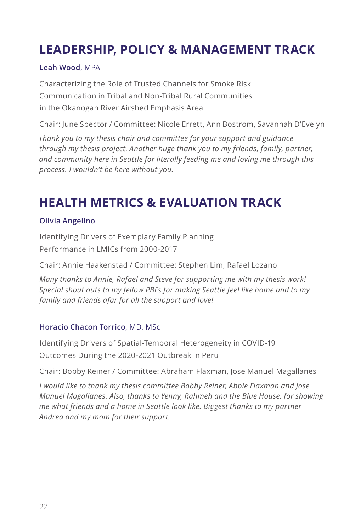### **LEADERSHIP, POLICY & MANAGEMENT TRACK**

#### **Leah Wood**, MPA

Characterizing the Role of Trusted Channels for Smoke Risk Communication in Tribal and Non-Tribal Rural Communities in the Okanogan River Airshed Emphasis Area

Chair: June Spector / Committee: Nicole Errett, Ann Bostrom, Savannah D'Evelyn

*Thank you to my thesis chair and committee for your support and guidance through my thesis project. Another huge thank you to my friends, family, partner, and community here in Seattle for literally feeding me and loving me through this process. I wouldn't be here without you.*

### **HEALTH METRICS & EVALUATION TRACK**

#### **Olivia Angelino**

Identifying Drivers of Exemplary Family Planning Performance in LMICs from 2000-2017

Chair: Annie Haakenstad / Committee: Stephen Lim, Rafael Lozano

*Many thanks to Annie, Rafael and Steve for supporting me with my thesis work! Special shout outs to my fellow PBFs for making Seattle feel like home and to my family and friends afar for all the support and love!*

#### **Horacio Chacon Torrico**, MD, MSc

Identifying Drivers of Spatial-Temporal Heterogeneity in COVID-19 Outcomes During the 2020-2021 Outbreak in Peru

Chair: Bobby Reiner / Committee: Abraham Flaxman, Jose Manuel Magallanes

*I would like to thank my thesis committee Bobby Reiner, Abbie Flaxman and Jose Manuel Magallanes. Also, thanks to Yenny, Rahmeh and the Blue House, for showing me what friends and a home in Seattle look like. Biggest thanks to my partner Andrea and my mom for their support.*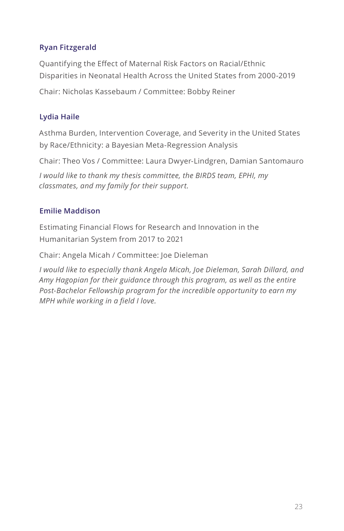#### **Ryan Fitzgerald**

Quantifying the Effect of Maternal Risk Factors on Racial/Ethnic Disparities in Neonatal Health Across the United States from 2000-2019

Chair: Nicholas Kassebaum / Committee: Bobby Reiner

#### **Lydia Haile**

Asthma Burden, Intervention Coverage, and Severity in the United States by Race/Ethnicity: a Bayesian Meta-Regression Analysis

Chair: Theo Vos / Committee: Laura Dwyer-Lindgren, Damian Santomauro

*I would like to thank my thesis committee, the BIRDS team, EPHI, my classmates, and my family for their support.*

#### **Emilie Maddison**

Estimating Financial Flows for Research and Innovation in the Humanitarian System from 2017 to 2021

Chair: Angela Micah / Committee: Joe Dieleman

*I would like to especially thank Angela Micah, Joe Dieleman, Sarah Dillard, and Amy Hagopian for their guidance through this program, as well as the entire Post-Bachelor Fellowship program for the incredible opportunity to earn my MPH while working in a field I love.*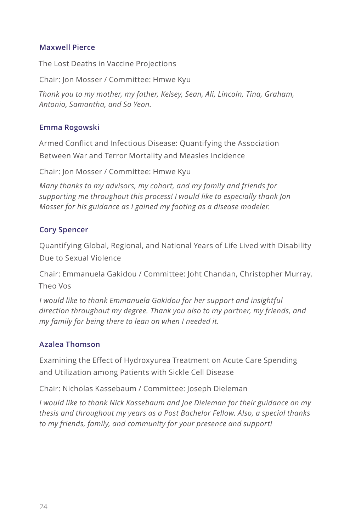#### **Maxwell Pierce**

The Lost Deaths in Vaccine Projections

Chair: Jon Mosser / Committee: Hmwe Kyu

*Thank you to my mother, my father, Kelsey, Sean, Ali, Lincoln, Tina, Graham, Antonio, Samantha, and So Yeon.*

#### **Emma Rogowski**

Armed Conflict and Infectious Disease: Quantifying the Association Between War and Terror Mortality and Measles Incidence

Chair: Jon Mosser / Committee: Hmwe Kyu

*Many thanks to my advisors, my cohort, and my family and friends for supporting me throughout this process! I would like to especially thank Jon Mosser for his guidance as I gained my footing as a disease modeler.*

#### **Cory Spencer**

Quantifying Global, Regional, and National Years of Life Lived with Disability Due to Sexual Violence

Chair: Emmanuela Gakidou / Committee: Joht Chandan, Christopher Murray, Theo Vos

*I would like to thank Emmanuela Gakidou for her support and insightful direction throughout my degree. Thank you also to my partner, my friends, and my family for being there to lean on when I needed it.*

#### **Azalea Thomson**

Examining the Effect of Hydroxyurea Treatment on Acute Care Spending and Utilization among Patients with Sickle Cell Disease

Chair: Nicholas Kassebaum / Committee: Joseph Dieleman

*I would like to thank Nick Kassebaum and Joe Dieleman for their guidance on my thesis and throughout my years as a Post Bachelor Fellow. Also, a special thanks to my friends, family, and community for your presence and support!*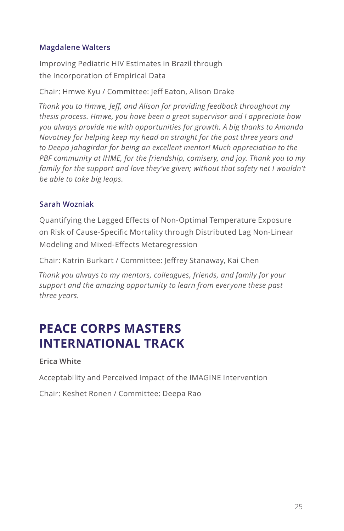#### **Magdalene Walters**

Improving Pediatric HIV Estimates in Brazil through the Incorporation of Empirical Data

Chair: Hmwe Kyu / Committee: Jeff Eaton, Alison Drake

*Thank you to Hmwe, Jeff, and Alison for providing feedback throughout my thesis process. Hmwe, you have been a great supervisor and I appreciate how you always provide me with opportunities for growth. A big thanks to Amanda Novotney for helping keep my head on straight for the past three years and to Deepa Jahagirdar for being an excellent mentor! Much appreciation to the PBF community at IHME, for the friendship, comisery, and joy. Thank you to my*  family for the support and love they've given; without that safety net I wouldn't *be able to take big leaps.*

#### **Sarah Wozniak**

Quantifying the Lagged Effects of Non-Optimal Temperature Exposure on Risk of Cause-Specific Mortality through Distributed Lag Non-Linear Modeling and Mixed-Effects Metaregression

Chair: Katrin Burkart / Committee: Jeffrey Stanaway, Kai Chen

*Thank you always to my mentors, colleagues, friends, and family for your support and the amazing opportunity to learn from everyone these past three years.*

### **PEACE CORPS MASTERS INTERNATIONAL TRACK**

**Erica White**

Acceptability and Perceived Impact of the IMAGINE Intervention

Chair: Keshet Ronen / Committee: Deepa Rao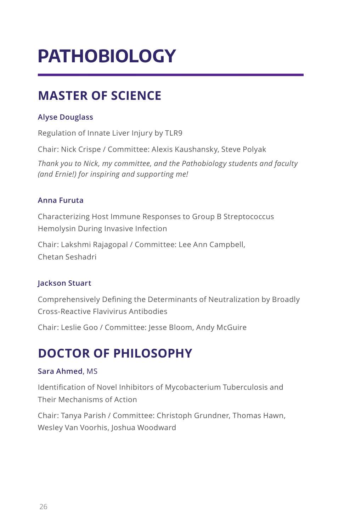### **PATHOBIOLOGY**

### **MASTER OF SCIENCE**

#### **Alyse Douglass**

Regulation of Innate Liver Injury by TLR9

Chair: Nick Crispe / Committee: Alexis Kaushansky, Steve Polyak

*Thank you to Nick, my committee, and the Pathobiology students and faculty (and Ernie!) for inspiring and supporting me!*

#### **Anna Furuta**

Characterizing Host Immune Responses to Group B Streptococcus Hemolysin During Invasive Infection

Chair: Lakshmi Rajagopal / Committee: Lee Ann Campbell, Chetan Seshadri

#### **Jackson Stuart**

Comprehensively Defining the Determinants of Neutralization by Broadly Cross-Reactive Flavivirus Antibodies

Chair: Leslie Goo / Committee: Jesse Bloom, Andy McGuire

### **DOCTOR OF PHILOSOPHY**

#### **Sara Ahmed**, MS

Identification of Novel Inhibitors of Mycobacterium Tuberculosis and Their Mechanisms of Action

Chair: Tanya Parish / Committee: Christoph Grundner, Thomas Hawn, Wesley Van Voorhis, Joshua Woodward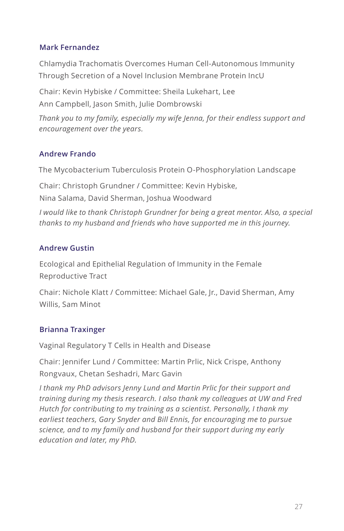#### **Mark Fernandez**

Chlamydia Trachomatis Overcomes Human Cell-Autonomous Immunity Through Secretion of a Novel Inclusion Membrane Protein IncU

Chair: Kevin Hybiske / Committee: Sheila Lukehart, Lee Ann Campbell, Jason Smith, Julie Dombrowski

*Thank you to my family, especially my wife Jenna, for their endless support and encouragement over the years.*

#### **Andrew Frando**

The Mycobacterium Tuberculosis Protein O-Phosphorylation Landscape

Chair: Christoph Grundner / Committee: Kevin Hybiske,

Nina Salama, David Sherman, Joshua Woodward

*I would like to thank Christoph Grundner for being a great mentor. Also, a special thanks to my husband and friends who have supported me in this journey.*

#### **Andrew Gustin**

Ecological and Epithelial Regulation of Immunity in the Female Reproductive Tract

Chair: Nichole Klatt / Committee: Michael Gale, Jr., David Sherman, Amy Willis, Sam Minot

#### **Brianna Traxinger**

Vaginal Regulatory T Cells in Health and Disease

Chair: Jennifer Lund / Committee: Martin Prlic, Nick Crispe, Anthony Rongvaux, Chetan Seshadri, Marc Gavin

*I thank my PhD advisors Jenny Lund and Martin Prlic for their support and training during my thesis research. I also thank my colleagues at UW and Fred Hutch for contributing to my training as a scientist. Personally, I thank my*  earliest teachers, Gary Snyder and Bill Ennis, for encouraging me to pursue *science, and to my family and husband for their support during my early education and later, my PhD.*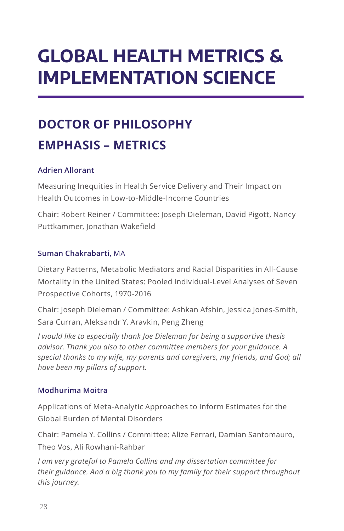### **GLOBAL HEALTH METRICS & IMPLEMENTATION SCIENCE**

### **DOCTOR OF PHILOSOPHY EMPHASIS – METRICS**

#### **Adrien Allorant**

Measuring Inequities in Health Service Delivery and Their Impact on Health Outcomes in Low-to-Middle-Income Countries

Chair: Robert Reiner / Committee: Joseph Dieleman, David Pigott, Nancy Puttkammer, Jonathan Wakefield

#### **Suman Chakrabarti**, MA

Dietary Patterns, Metabolic Mediators and Racial Disparities in All-Cause Mortality in the United States: Pooled Individual-Level Analyses of Seven Prospective Cohorts, 1970-2016

Chair: Joseph Dieleman / Committee: Ashkan Afshin, Jessica Jones-Smith, Sara Curran, Aleksandr Y. Aravkin, Peng Zheng

*I would like to especially thank Joe Dieleman for being a supportive thesis advisor. Thank you also to other committee members for your guidance. A special thanks to my wife, my parents and caregivers, my friends, and God; all have been my pillars of support.*

#### **Modhurima Moitra**

Applications of Meta-Analytic Approaches to Inform Estimates for the Global Burden of Mental Disorders

Chair: Pamela Y. Collins / Committee: Alize Ferrari, Damian Santomauro, Theo Vos, Ali Rowhani-Rahbar

*I am very grateful to Pamela Collins and my dissertation committee for their guidance. And a big thank you to my family for their support throughout this journey.*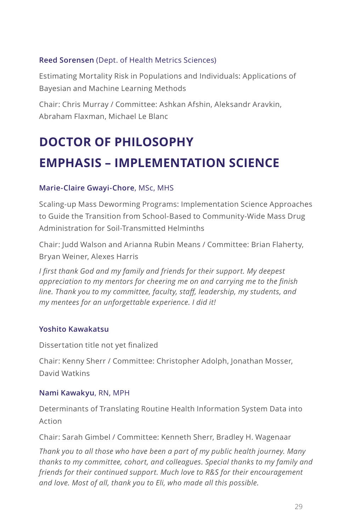#### **Reed Sorensen** (Dept. of Health Metrics Sciences)

Estimating Mortality Risk in Populations and Individuals: Applications of Bayesian and Machine Learning Methods

Chair: Chris Murray / Committee: Ashkan Afshin, Aleksandr Aravkin, Abraham Flaxman, Michael Le Blanc

### **DOCTOR OF PHILOSOPHY EMPHASIS – IMPLEMENTATION SCIENCE**

#### **Marie-Claire Gwayi-Chore**, MSc, MHS

Scaling-up Mass Deworming Programs: Implementation Science Approaches to Guide the Transition from School-Based to Community-Wide Mass Drug Administration for Soil-Transmitted Helminths

Chair: Judd Walson and Arianna Rubin Means / Committee: Brian Flaherty, Bryan Weiner, Alexes Harris

*I first thank God and my family and friends for their support. My deepest appreciation to my mentors for cheering me on and carrying me to the finish line. Thank you to my committee, faculty, staff, leadership, my students, and my mentees for an unforgettable experience. I did it!*

#### **Yoshito Kawakatsu**

Dissertation title not yet finalized

Chair: Kenny Sherr / Committee: Christopher Adolph, Jonathan Mosser, David Watkins

#### **Nami Kawakyu**, RN, MPH

Determinants of Translating Routine Health Information System Data into Action

Chair: Sarah Gimbel / Committee: Kenneth Sherr, Bradley H. Wagenaar

*Thank you to all those who have been a part of my public health journey. Many thanks to my committee, cohort, and colleagues. Special thanks to my family and friends for their continued support. Much love to R&S for their encouragement and love. Most of all, thank you to Eli, who made all this possible.*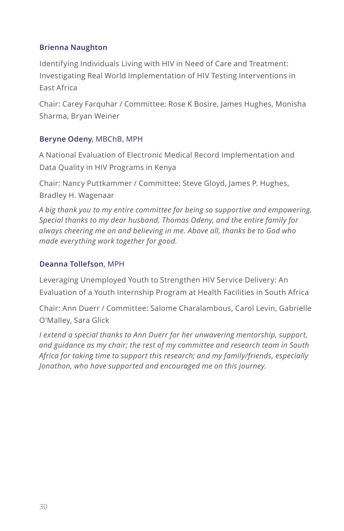#### **Brienna Naughton**

Identifying Individuals Living with HIV in Need of Care and Treatment: Investigating Real World Implementation of HIV Testing Interventions in East Africa

Chair: Carey Farquhar / Committee: Rose K Bosire, James Hughes, Monisha Sharma, Bryan Weiner

#### **Beryne Odeny**, MBChB, MPH

A National Evaluation of Electronic Medical Record Implementation and Data Quality in HIV Programs in Kenya

Chair: Nancy Puttkammer / Committee: Steve Gloyd, James P. Hughes, Bradley H. Wagenaar

*A big thank you to my entire committee for being so supportive and empowering. Special thanks to my dear husband, Thomas Odeny, and the entire family for always cheering me on and believing in me. Above all, thanks be to God who made everything work together for good.*

#### **Deanna Tollefson**, MPH

Leveraging Unemployed Youth to Strengthen HIV Service Delivery: An Evaluation of a Youth Internship Program at Health Facilities in South Africa

Chair: Ann Duerr / Committee: Salome Charalambous, Carol Levin, Gabrielle O'Malley, Sara Glick

*I extend a special thanks to Ann Duerr for her unwavering mentorship, support, and guidance as my chair; the rest of my committee and research team in South Africa for taking time to support this research; and my family/friends, especially Jonathon, who have supported and encouraged me on this journey.*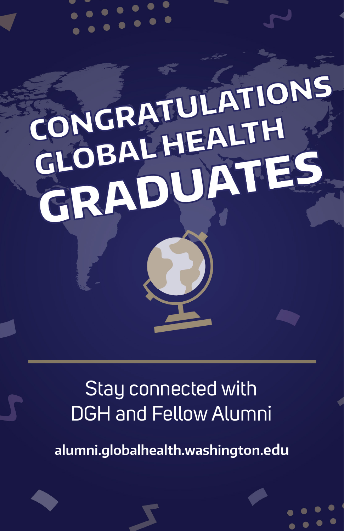# CONGRATULATIONS CONGRATULATH GLOBALHEATES

### Stay connected with DGH and Fellow Alumni

**alumni.globalhealth.washington.edu**